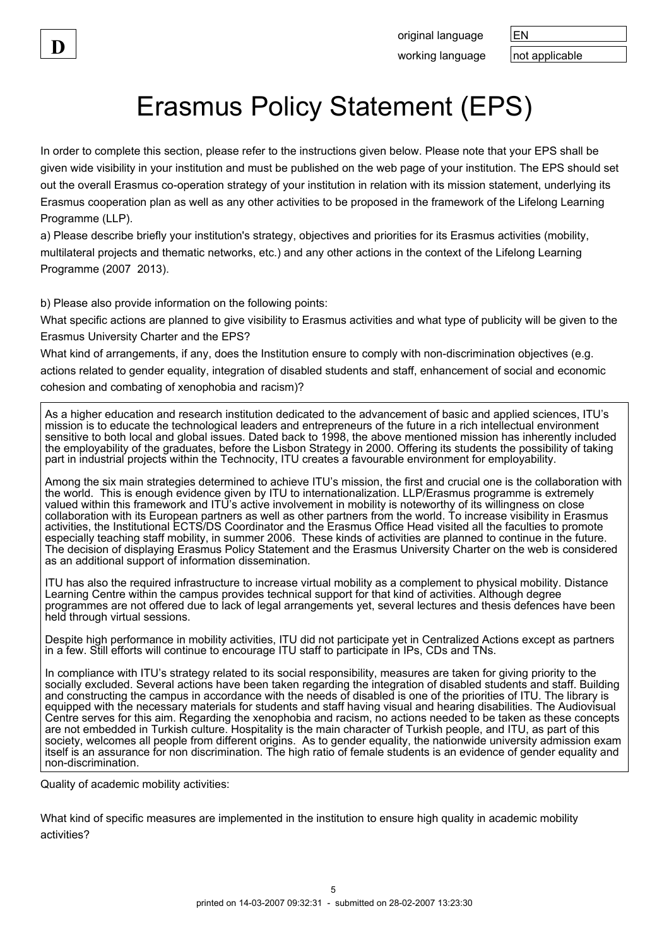original language | EN working language  $\vert$  not applicable

## Erasmus Policy Statement (EPS)

In order to complete this section, please refer to the instructions given below. Please note that your EPS shall be given wide visibility in your institution and must be published on the web page of your institution. The EPS should set out the overall Erasmus co-operation strategy of your institution in relation with its mission statement, underlying its Erasmus cooperation plan as well as any other activities to be proposed in the framework of the Lifelong Learning Programme (LLP).

a) Please describe briefly your institution's strategy, objectives and priorities for its Erasmus activities (mobility, multilateral projects and thematic networks, etc.) and any other actions in the context of the Lifelong Learning Programme (2007 2013).

b) Please also provide information on the following points:

What specific actions are planned to give visibility to Erasmus activities and what type of publicity will be given to the Erasmus University Charter and the EPS?

What kind of arrangements, if any, does the Institution ensure to comply with non-discrimination objectives (e.g. actions related to gender equality, integration of disabled students and staff, enhancement of social and economic cohesion and combating of xenophobia and racism)?

As a higher education and research institution dedicated to the advancement of basic and applied sciences, ITU's mission is to educate the technological leaders and entrepreneurs of the future in a rich intellectual environment sensitive to both local and global issues. Dated back to 1998, the above mentioned mission has inherently included the employability of the graduates, before the Lisbon Strategy in 2000. Offering its students the possibility of taking part in industrial projects within the Technocity, ITU creates a favourable environment for employability.

Among the six main strategies determined to achieve ITU's mission, the first and crucial one is the collaboration with the world. This is enough evidence given by ITU to internationalization. LLP/Erasmus programme is extremely valued within this framework and ITU's active involvement in mobility is noteworthy of its willingness on close collaboration with its European partners as well as other partners from the world. To increase visibility in Erasmus activities, the Institutional ECTS/DS Coordinator and the Erasmus Office Head visited all the faculties to promote especially teaching staff mobility, in summer 2006. These kinds of activities are planned to continue in the future. The decision of displaying Erasmus Policy Statement and the Erasmus University Charter on the web is considered as an additional support of information dissemination.

ITU has also the required infrastructure to increase virtual mobility as a complement to physical mobility. Distance Learning Centre within the campus provides technical support for that kind of activities. Although degree programmes are not offered due to lack of legal arrangements yet, several lectures and thesis defences have been held through virtual sessions.

Despite high performance in mobility activities, ITU did not participate yet in Centralized Actions except as partners in a few. Still efforts will continue to encourage ITU staff to participate in IPs, CDs and TNs.

In compliance with ITU's strategy related to its social responsibility, measures are taken for giving priority to the socially excluded. Several actions have been taken regarding the integration of disabled students and staff. Building and constructing the campus in accordance with the needs of disabled is one of the priorities of ITU. The library is equipped with the necessary materials for students and staff having visual and hearing disabilities. The Audiovisual Centre serves for this aim. Regarding the xenophobia and racism, no actions needed to be taken as these concepts are not embedded in Turkish culture. Hospitality is the main character of Turkish people, and ITU, as part of this society, welcomes all people from different origins. As to gender equality, the nationwide university admission exam itself is an assurance for non discrimination. The high ratio of female students is an evidence of gender equality and non-discrimination.

Quality of academic mobility activities:

What kind of specific measures are implemented in the institution to ensure high quality in academic mobility activities?